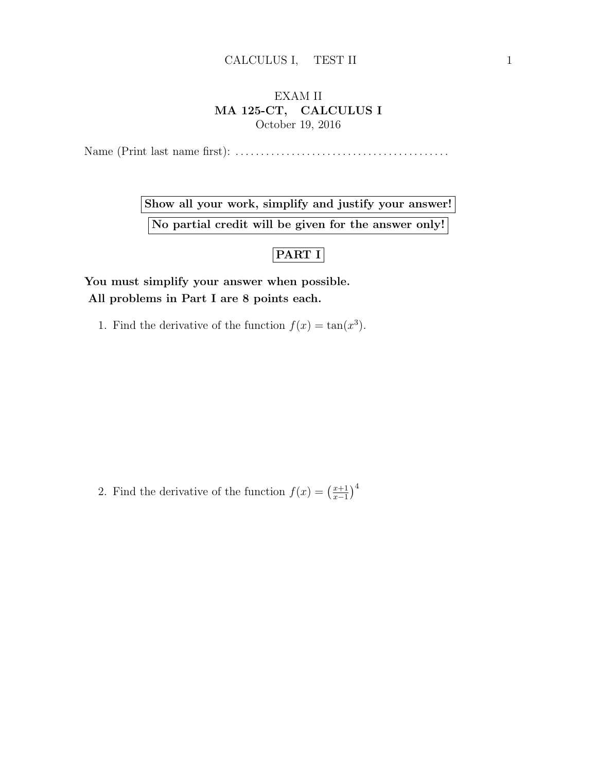## EXAM II MA 125-CT, CALCULUS I October 19, 2016

Name (Print last name first): . . . . . . . . . . . . . . . . . . . . . . . . . . . . . . . . . . . . . . . . . .

Show all your work, simplify and justify your answer! No partial credit will be given for the answer only!

## PART I

You must simplify your answer when possible. All problems in Part I are 8 points each.

1. Find the derivative of the function  $f(x) = \tan(x^3)$ .

2. Find the derivative of the function  $f(x) = \left(\frac{x+1}{x-1}\right)^{x}$  $\frac{x+1}{x-1}\big)^4$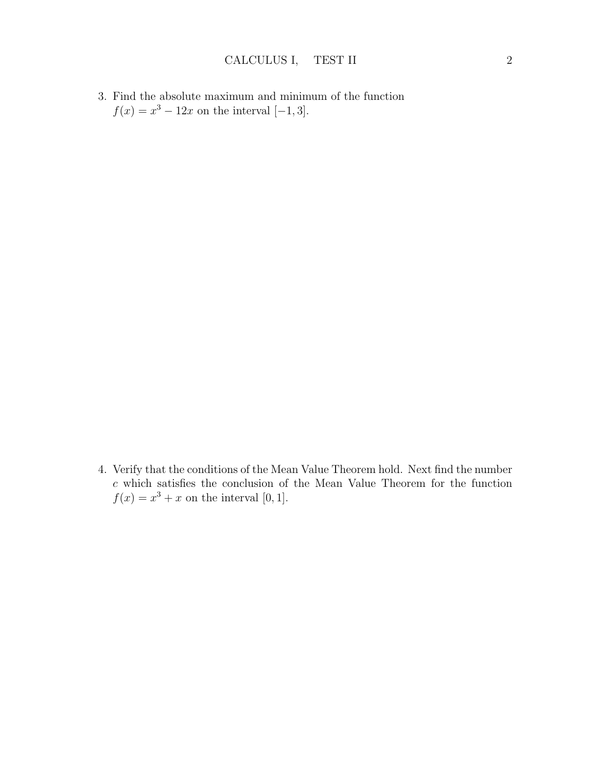3. Find the absolute maximum and minimum of the function  $f(x) = x^3 - 12x$  on the interval [-1,3].

4. Verify that the conditions of the Mean Value Theorem hold. Next find the number  $c$  which satisfies the conclusion of the Mean Value Theorem for the function  $f(x) = x^3 + x$  on the interval [0, 1].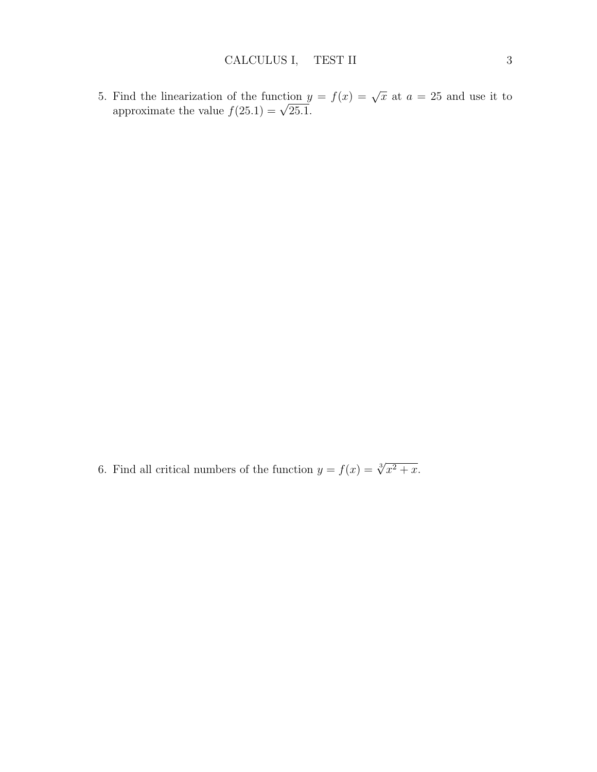5. Find the linearization of the function  $y = f(x) = \sqrt{x}$  at  $a = 25$  and use it to approximate the value  $f(25.1) = \sqrt{25.1}$ .

6. Find all critical numbers of the function  $y = f(x) = \sqrt[3]{x^2 + x}$ .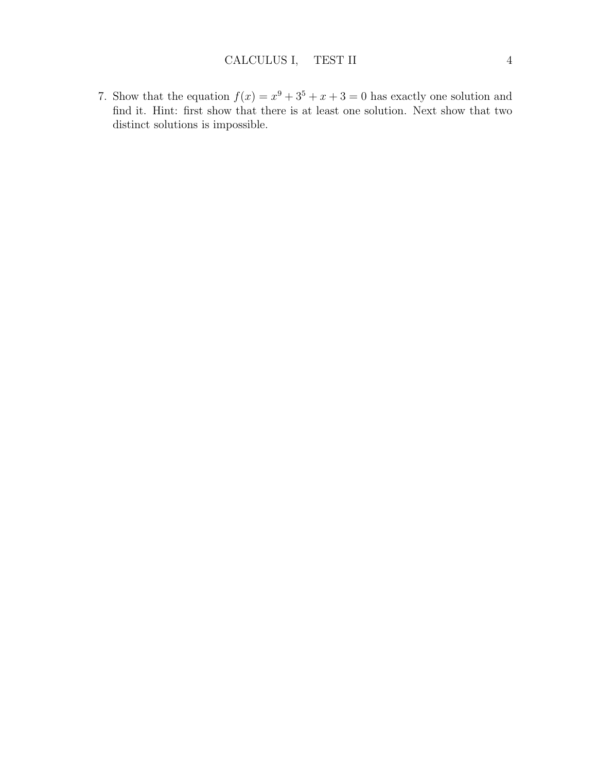7. Show that the equation  $f(x) = x^9 + 3^5 + x + 3 = 0$  has exactly one solution and find it. Hint: first show that there is at least one solution. Next show that two distinct solutions is impossible.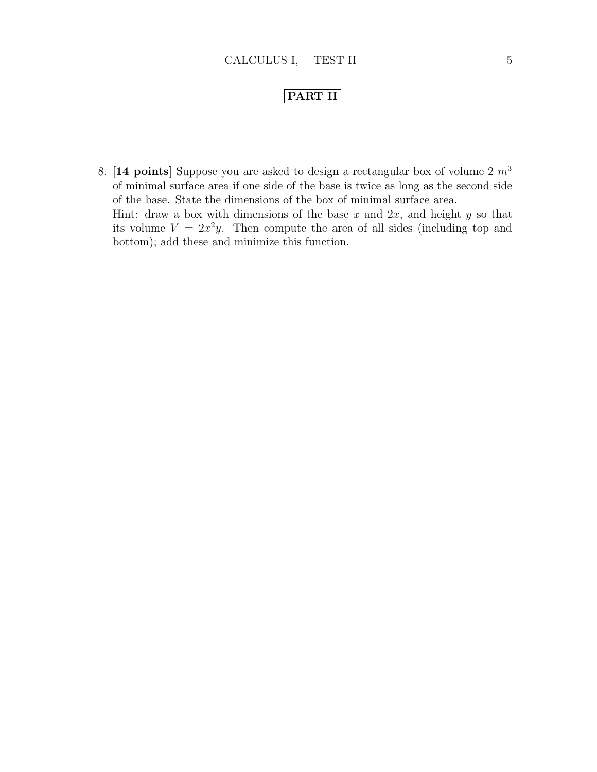## PART II

8. [14 points] Suppose you are asked to design a rectangular box of volume  $2 m<sup>3</sup>$ of minimal surface area if one side of the base is twice as long as the second side of the base. State the dimensions of the box of minimal surface area. Hint: draw a box with dimensions of the base  $x$  and  $2x$ , and height  $y$  so that its volume  $V = 2x^2y$ . Then compute the area of all sides (including top and bottom); add these and minimize this function.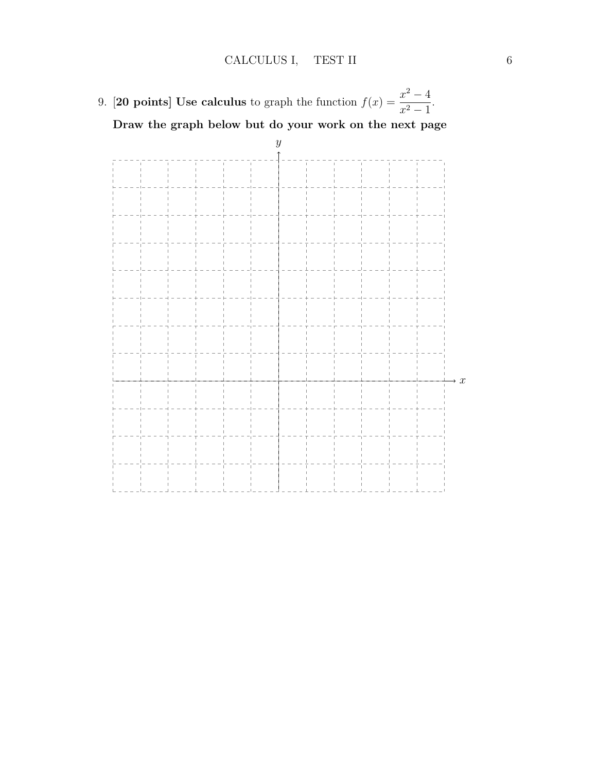9. **[20 points]** Use calculus to graph the function  $f(x) = \frac{x^2 - 4}{x^2 - 1}$  $\frac{x}{x^2-1}$ . Draw the graph below but do your work on the next page

y  $\rightarrow x$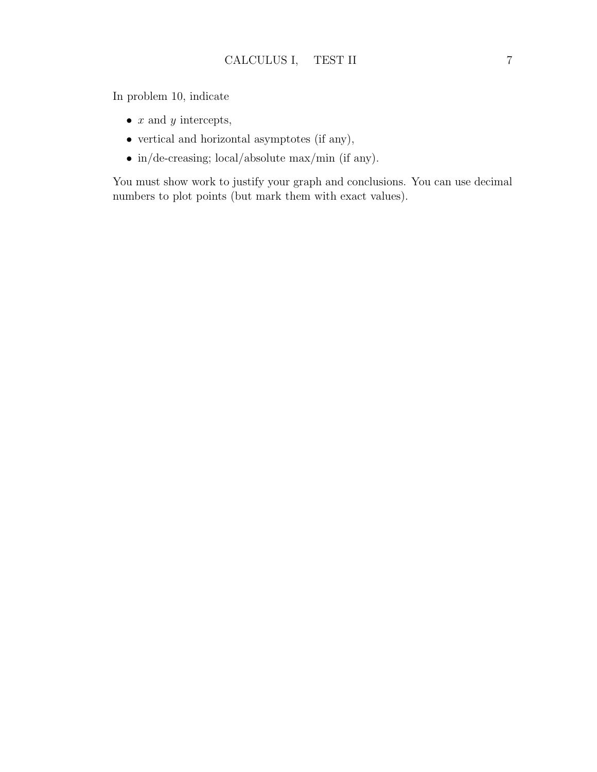In problem 10, indicate

- $x$  and  $y$  intercepts,
- vertical and horizontal asymptotes (if any),
- in/de-creasing; local/absolute max/min (if any).

You must show work to justify your graph and conclusions. You can use decimal numbers to plot points (but mark them with exact values).